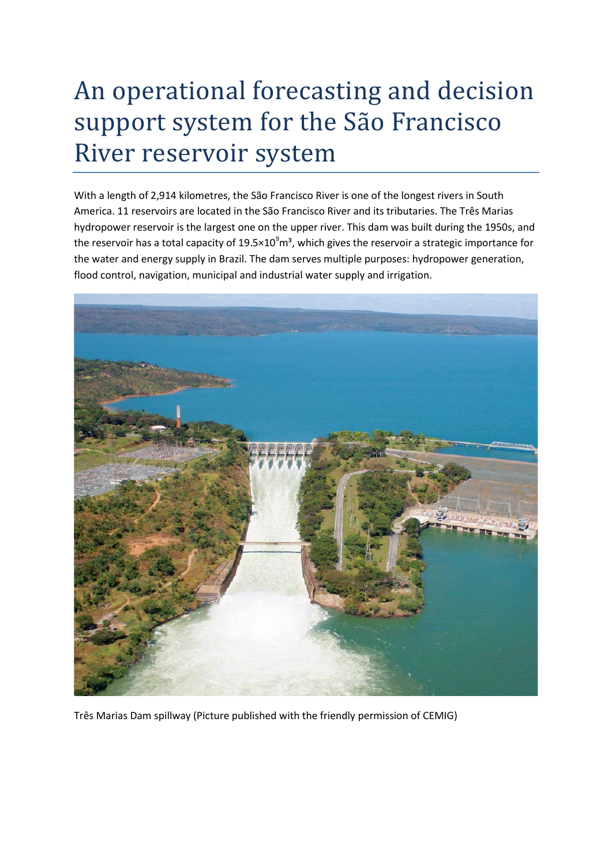## An operational forecasting and decision support system for the São Francisco River reservoir system

With a length of 2,914 kilometres, the São Francisco River is one of the longest rivers in South America. 11 reservoirs are located in the São Francisco River and its tributaries. The Três Marias hydropower reservoir is the largest one on the upper river. This dam was built during the 1950s, and the reservoir has a total capacity of  $19.5 \times 10^9$  m<sup>3</sup>, which gives the reservoir a strategic importance for the water and energy supply in Brazil. The dam serves multiple purposes: hydropower generation, flood control, navigation, municipal and industrial water supply and irrigation.



Três Marias Dam spillway (Picture published with the friendly permission of CEMIG)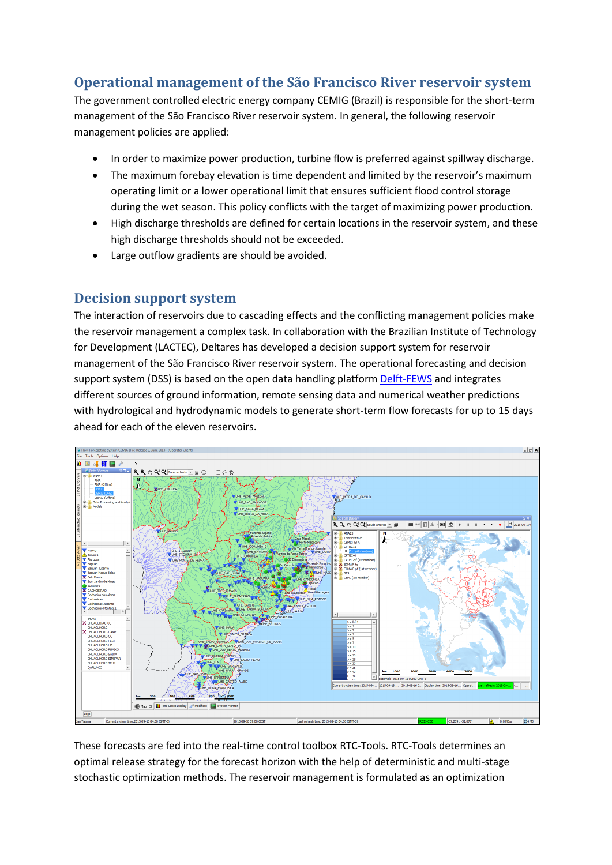## **Operational management of the São Francisco River reservoir system**

The government controlled electric energy company CEMIG (Brazil) is responsible for the short-term management of the São Francisco River reservoir system. In general, the following reservoir management policies are applied:

- In order to maximize power production, turbine flow is preferred against spillway discharge.
- The maximum forebay elevation is time dependent and limited by the reservoir's maximum operating limit or a lower operational limit that ensures sufficient flood control storage during the wet season. This policy conflicts with the target of maximizing power production.
- High discharge thresholds are defined for certain locations in the reservoir system, and these high discharge thresholds should not be exceeded.
- Large outflow gradients are should be avoided.

## **Decision support system**

The interaction of reservoirs due to cascading effects and the conflicting management policies make the reservoir management a complex task. In collaboration with the Brazilian Institute of Technology for Development (LACTEC), Deltares has developed a decision support system for reservoir management of the São Francisco River reservoir system. The operational forecasting and decision support system (DSS) is based on the open data handling platform [Delft-FEWS](http://oss.deltares.nl/web/delft-fews/about) and integrates different sources of ground information, remote sensing data and numerical weather predictions with hydrological and hydrodynamic models to generate short-term flow forecasts for up to 15 days ahead for each of the eleven reservoirs.



These forecasts are fed into the real-time control toolbox RTC-Tools. RTC-Tools determines an optimal release strategy for the forecast horizon with the help of deterministic and multi-stage stochastic optimization methods. The reservoir management is formulated as an optimization